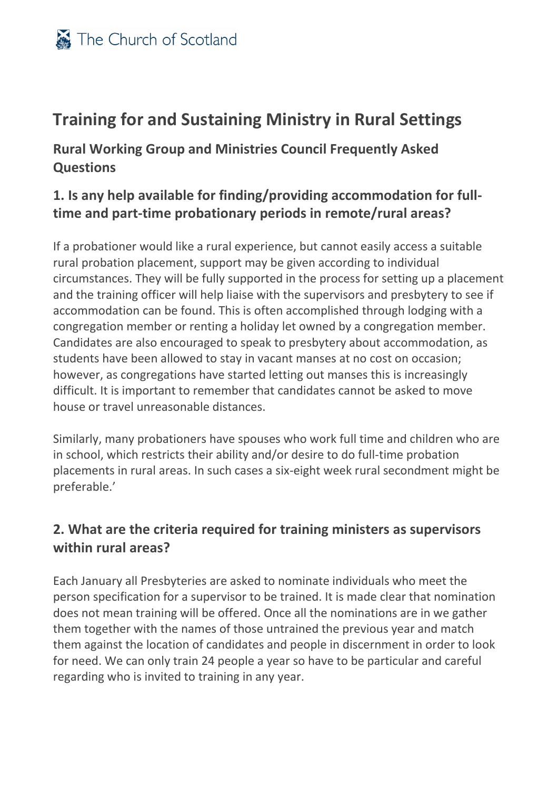# **Training for and Sustaining Ministry in Rural Settings**

**Rural Working Group and Ministries Council Frequently Asked Questions**

#### **1. Is any help available for finding/providing accommodation for fulltime and part-time probationary periods in remote/rural areas?**

If a probationer would like a rural experience, but cannot easily access a suitable rural probation placement, support may be given according to individual circumstances. They will be fully supported in the process for setting up a placement and the training officer will help liaise with the supervisors and presbytery to see if accommodation can be found. This is often accomplished through lodging with a congregation member or renting a holiday let owned by a congregation member. Candidates are also encouraged to speak to presbytery about accommodation, as students have been allowed to stay in vacant manses at no cost on occasion; however, as congregations have started letting out manses this is increasingly difficult. It is important to remember that candidates cannot be asked to move house or travel unreasonable distances.

Similarly, many probationers have spouses who work full time and children who are in school, which restricts their ability and/or desire to do full-time probation placements in rural areas. In such cases a six-eight week rural secondment might be preferable.'

### **2. What are the criteria required for training ministers as supervisors within rural areas?**

Each January all Presbyteries are asked to nominate individuals who meet the person specification for a supervisor to be trained. It is made clear that nomination does not mean training will be offered. Once all the nominations are in we gather them together with the names of those untrained the previous year and match them against the location of candidates and people in discernment in order to look for need. We can only train 24 people a year so have to be particular and careful regarding who is invited to training in any year.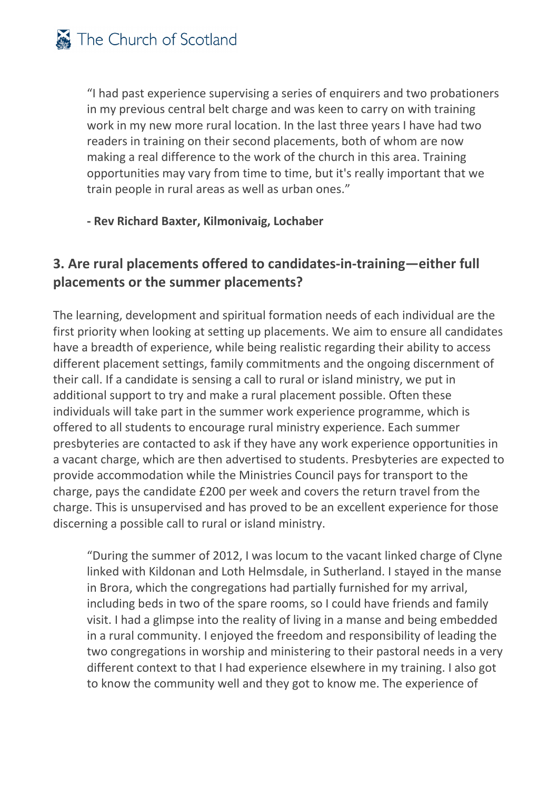"I had past experience supervising a series of enquirers and two probationers in my previous central belt charge and was keen to carry on with training work in my new more rural location. In the last three years I have had two readers in training on their second placements, both of whom are now making a real difference to the work of the church in this area. Training opportunities may vary from time to time, but it's really important that we train people in rural areas as well as urban ones."

#### **- Rev Richard Baxter, Kilmonivaig, Lochaber**

### **3. Are rural placements offered to candidates-in-training—either full placements or the summer placements?**

The learning, development and spiritual formation needs of each individual are the first priority when looking at setting up placements. We aim to ensure all candidates have a breadth of experience, while being realistic regarding their ability to access different placement settings, family commitments and the ongoing discernment of their call. If a candidate is sensing a call to rural or island ministry, we put in additional support to try and make a rural placement possible. Often these individuals will take part in the summer work experience programme, which is offered to all students to encourage rural ministry experience. Each summer presbyteries are contacted to ask if they have any work experience opportunities in a vacant charge, which are then advertised to students. Presbyteries are expected to provide accommodation while the Ministries Council pays for transport to the charge, pays the candidate £200 per week and covers the return travel from the charge. This is unsupervised and has proved to be an excellent experience for those discerning a possible call to rural or island ministry.

"During the summer of 2012, I was locum to the vacant linked charge of Clyne linked with Kildonan and Loth Helmsdale, in Sutherland. I stayed in the manse in Brora, which the congregations had partially furnished for my arrival, including beds in two of the spare rooms, so I could have friends and family visit. I had a glimpse into the reality of living in a manse and being embedded in a rural community. I enjoyed the freedom and responsibility of leading the two congregations in worship and ministering to their pastoral needs in a very different context to that I had experience elsewhere in my training. I also got to know the community well and they got to know me. The experience of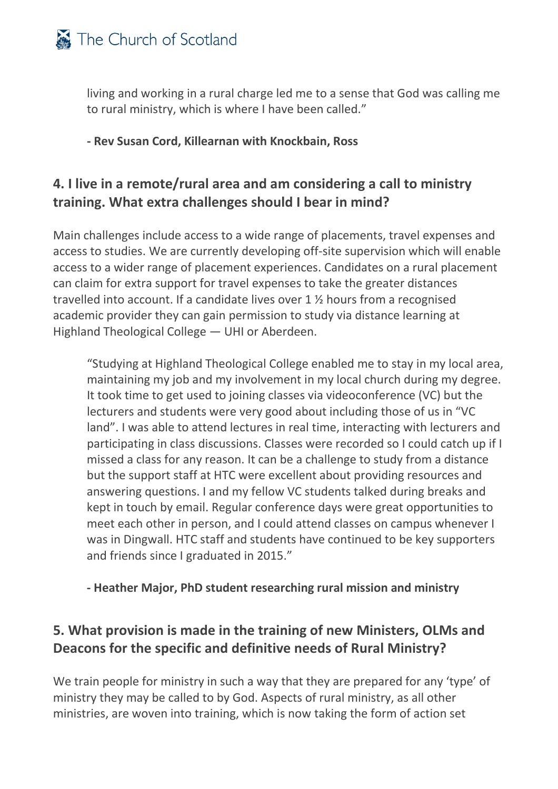

living and working in a rural charge led me to a sense that God was calling me to rural ministry, which is where I have been called."

**- Rev Susan Cord, Killearnan with Knockbain, Ross**

#### **4. I live in a remote/rural area and am considering a call to ministry training. What extra challenges should I bear in mind?**

Main challenges include access to a wide range of placements, travel expenses and access to studies. We are currently developing off-site supervision which will enable access to a wider range of placement experiences. Candidates on a rural placement can claim for extra support for travel expenses to take the greater distances travelled into account. If a candidate lives over 1 ½ hours from a recognised academic provider they can gain permission to study via distance learning at Highland Theological College — UHI or Aberdeen.

"Studying at Highland Theological College enabled me to stay in my local area, maintaining my job and my involvement in my local church during my degree. It took time to get used to joining classes via videoconference (VC) but the lecturers and students were very good about including those of us in "VC land". I was able to attend lectures in real time, interacting with lecturers and participating in class discussions. Classes were recorded so I could catch up if I missed a class for any reason. It can be a challenge to study from a distance but the support staff at HTC were excellent about providing resources and answering questions. I and my fellow VC students talked during breaks and kept in touch by email. Regular conference days were great opportunities to meet each other in person, and I could attend classes on campus whenever I was in Dingwall. HTC staff and students have continued to be key supporters and friends since I graduated in 2015."

**- Heather Major, PhD student researching rural mission and ministry**

### **5. What provision is made in the training of new Ministers, OLMs and Deacons for the specific and definitive needs of Rural Ministry?**

We train people for ministry in such a way that they are prepared for any 'type' of ministry they may be called to by God. Aspects of rural ministry, as all other ministries, are woven into training, which is now taking the form of action set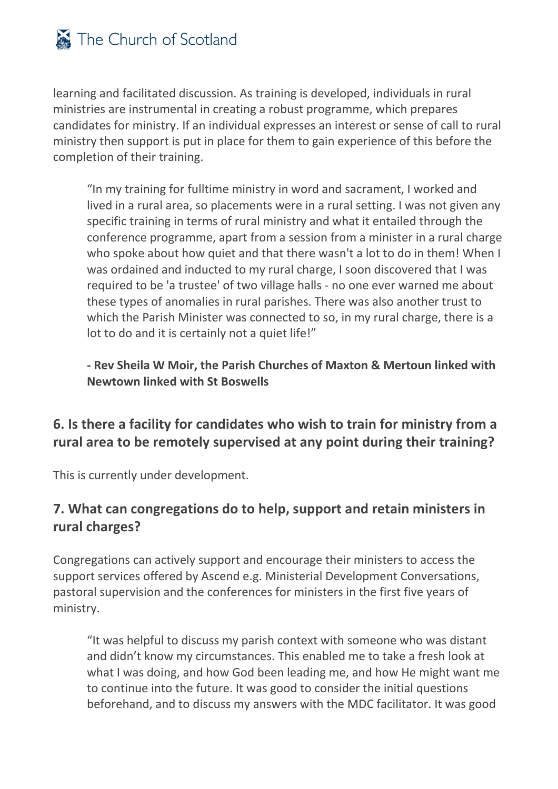

learning and facilitated discussion. As training is developed, individuals in rural ministries are instrumental in creating a robust programme, which prepares candidates for ministry. If an individual expresses an interest or sense of call to rural ministry then support is put in place for them to gain experience of this before the completion of their training.

"In my training for fulltime ministry in word and sacrament, I worked and lived in a rural area, so placements were in a rural setting. I was not given any specific training in terms of rural ministry and what it entailed through the conference programme, apart from a session from a minister in a rural charge who spoke about how quiet and that there wasn't a lot to do in them! When I was ordained and inducted to my rural charge, I soon discovered that I was required to be 'a trustee' of two village halls - no one ever warned me about these types of anomalies in rural parishes. There was also another trust to which the Parish Minister was connected to so, in my rural charge, there is a lot to do and it is certainly not a quiet life!"

**- Rev Sheila W Moir, the Parish Churches of Maxton & Mertoun linked with Newtown linked with St Boswells**

#### **6. Is there a facility for candidates who wish to train for ministry from a rural area to be remotely supervised at any point during their training?**

This is currently under development.

### **7. What can congregations do to help, support and retain ministers in rural charges?**

Congregations can actively support and encourage their ministers to access the support services offered by Ascend e.g. Ministerial Development Conversations, pastoral supervision and the conferences for ministers in the first five years of ministry.

"It was helpful to discuss my parish context with someone who was distant and didn't know my circumstances. This enabled me to take a fresh look at what I was doing, and how God been leading me, and how He might want me to continue into the future. It was good to consider the initial questions beforehand, and to discuss my answers with the MDC facilitator. It was good